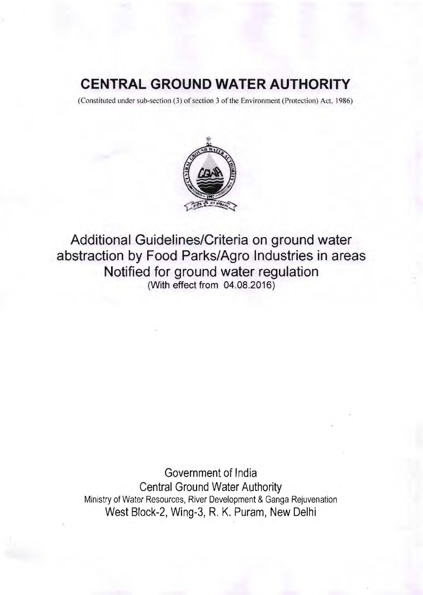## **CENTRAL GROUND WATER AUTHORITY**

(Constituted under sub-section (3) of section 3 of the Environment (Protection) Act. 1986)



Additional Guidelines/Criteria on ground water abstraction by Food Parks/Agro Industries in areas Notified for ground water regulation (With effect from 04.08.2016)

Government of India Central Ground Water Authority Ministry of Water Resources, River Development & Ganga Rejuvenation West Block-2, Wing-3, R. K. Puram, New Delhi